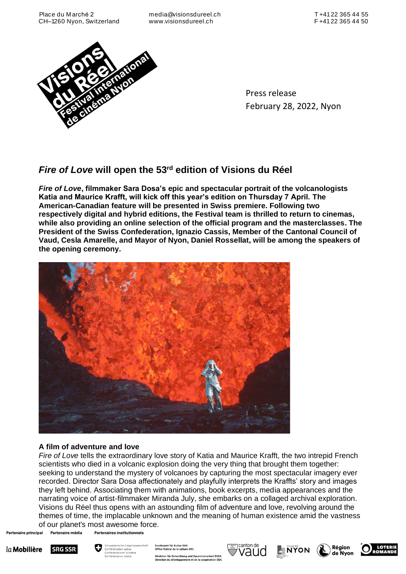

Press release February 28, 2022, Nyon

# *Fire of Love* **will open the 53rd edition of Visions du Réel**

*Fire of Love***, filmmaker Sara Dosa's epic and spectacular portrait of the volcanologists Katia and Maurice Krafft, will kick off this year's edition on Thursday 7 April. The American-Canadian feature will be presented in Swiss premiere. Following two respectively digital and hybrid editions, the Festival team is thrilled to return to cinemas, while also providing an online selection of the official program and the masterclasses. The President of the Swiss Confederation, Ignazio Cassis, Member of the Cantonal Council of Vaud, Cesla Amarelle, and Mayor of Nyon, Daniel Rossellat, will be among the speakers of the opening ceremony.**



# **A film of adventure and love**

*Fire of Love* tells the extraordinary love story of Katia and Maurice Krafft, the two intrepid French scientists who died in a volcanic explosion doing the very thing that brought them together: seeking to understand the mystery of volcanoes by capturing the most spectacular imagery ever recorded. Director Sara Dosa affectionately and playfully interprets the Kraffts' story and images they left behind. Associating them with animations, book excerpts, media appearances and the narrating voice of artist-filmmaker Miranda July, she embarks on a collaged archival exploration. Visions du Réel thus opens with an astounding film of adventure and love, revolving around the themes of time, the implacable unknown and the meaning of human existence amid the vastness of our planet's most awesome force. Partenaires institutionnels

Partenaire média Partenaire principal





Bundesamt für Kultur BAK<br>Office fédéral de la culture OFC Direktion für Entwicklung und Zusammenarbeit DEZA<br>Direction du développement et de la coopération DDC